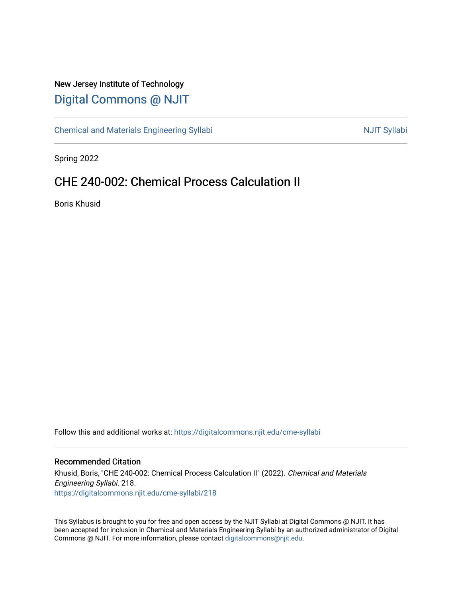# New Jersey Institute of Technology [Digital Commons @ NJIT](https://digitalcommons.njit.edu/)

[Chemical and Materials Engineering Syllabi](https://digitalcommons.njit.edu/cme-syllabi) Nulle and Syllabi Nulle Syllabi Nulle Syllabi Nulle Syllabi Nulle Syllabi

Spring 2022

# CHE 240-002: Chemical Process Calculation II

Boris Khusid

Follow this and additional works at: [https://digitalcommons.njit.edu/cme-syllabi](https://digitalcommons.njit.edu/cme-syllabi?utm_source=digitalcommons.njit.edu%2Fcme-syllabi%2F218&utm_medium=PDF&utm_campaign=PDFCoverPages) 

#### Recommended Citation

Khusid, Boris, "CHE 240-002: Chemical Process Calculation II" (2022). Chemical and Materials Engineering Syllabi. 218. [https://digitalcommons.njit.edu/cme-syllabi/218](https://digitalcommons.njit.edu/cme-syllabi/218?utm_source=digitalcommons.njit.edu%2Fcme-syllabi%2F218&utm_medium=PDF&utm_campaign=PDFCoverPages) 

This Syllabus is brought to you for free and open access by the NJIT Syllabi at Digital Commons @ NJIT. It has been accepted for inclusion in Chemical and Materials Engineering Syllabi by an authorized administrator of Digital Commons @ NJIT. For more information, please contact [digitalcommons@njit.edu.](mailto:digitalcommons@njit.edu)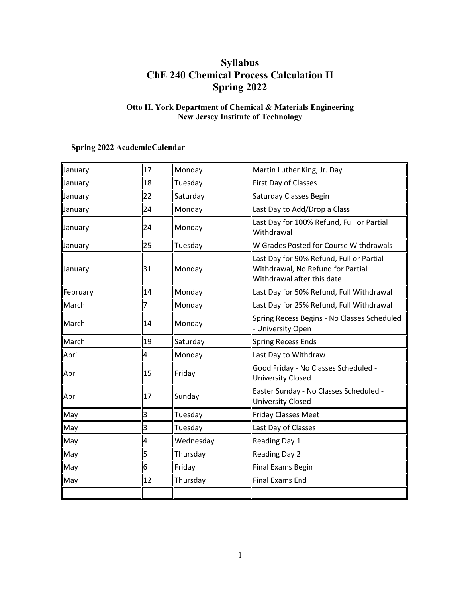## **Syllabus ChE 240 Chemical Process Calculation II Spring 2022**

## **Otto H. York Department of Chemical & Materials Engineering New Jersey Institute of Technology**

## **Spring 2022 AcademicCalendar**

| January  | 17 | Monday    | Martin Luther King, Jr. Day                                                                                 |  |
|----------|----|-----------|-------------------------------------------------------------------------------------------------------------|--|
| January  | 18 | Tuesday   | First Day of Classes                                                                                        |  |
| January  | 22 | Saturday  | Saturday Classes Begin                                                                                      |  |
| January  | 24 | Monday    | Last Day to Add/Drop a Class                                                                                |  |
| January  | 24 | Monday    | Last Day for 100% Refund, Full or Partial<br>Withdrawal                                                     |  |
| January  | 25 | Tuesday   | W Grades Posted for Course Withdrawals                                                                      |  |
| January  | 31 | Monday    | Last Day for 90% Refund, Full or Partial<br>Withdrawal, No Refund for Partial<br>Withdrawal after this date |  |
| February | 14 | Monday    | Last Day for 50% Refund, Full Withdrawal                                                                    |  |
| March    | 7  | Monday    | Last Day for 25% Refund, Full Withdrawal                                                                    |  |
| March    | 14 | Monday    | Spring Recess Begins - No Classes Scheduled<br>- University Open                                            |  |
| March    | 19 | Saturday  | Spring Recess Ends                                                                                          |  |
| April    | 4  | Monday    | Last Day to Withdraw                                                                                        |  |
| April    | 15 | Friday    | Good Friday - No Classes Scheduled -<br>University Closed                                                   |  |
| April    | 17 | Sunday    | Easter Sunday - No Classes Scheduled -<br><b>University Closed</b>                                          |  |
| May      | 3  | Tuesday   | <b>Friday Classes Meet</b>                                                                                  |  |
| May      | 3  | Tuesday   | Last Day of Classes                                                                                         |  |
| May      | 4  | Wednesday | Reading Day 1                                                                                               |  |
| May      | 5  | Thursday  | <b>Reading Day 2</b>                                                                                        |  |
| May      | 6  | Friday    | <b>Final Exams Begin</b>                                                                                    |  |
| May      | 12 | Thursday  | <b>Final Exams End</b>                                                                                      |  |
|          |    |           |                                                                                                             |  |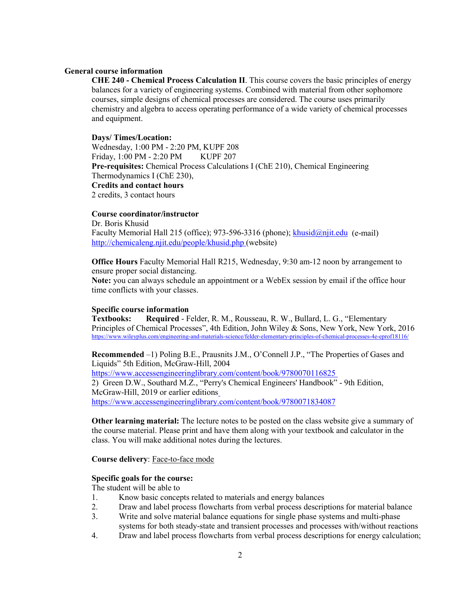#### **General course information**

**CHE 240 - Chemical Process Calculation II**. This course covers the basic principles of energy balances for a variety of engineering systems. Combined with material from other sophomore courses, simple designs of chemical processes are considered. The course uses primarily chemistry and algebra to access operating performance of a wide variety of chemical processes and equipment.

#### **Days/ Times/Location:**

Wednesday, 1:00 PM - 2:20 PM, KUPF 208 Friday, 1:00 PM - 2:20 PM KUPF 207 **Pre-requisites:** Chemical Process Calculations I (ChE 210), Chemical Engineering Thermodynamics I (ChE 230), **Credits and contact hours** 2 credits, 3 contact hours

#### **Course coordinator/instructor**

Dr. Boris Khusid Faculty Memorial Hall 215 (office); 973-596-3316 (phone); [khusid@njit.edu](mailto:khusid@njit.edu) (e-mail) http://chemicaleng.njit.edu/people/khusid.php (website)

**Office Hours** Faculty Memorial Hall R215, Wednesday, 9:30 am-12 noon by arrangement to ensure proper social distancing.

**Note:** you can always schedule an appointment or a WebEx session by email if the office hour time conflicts with your classes.

#### **Specific course information**

**Textbooks: Required** - Felder, R. M., Rousseau, R. W., Bullard, L. G., "Elementary Principles of Chemical Processes", 4th Edition, John Wiley & Sons, New York, New York, 2016 https://www.wileyplus.com/engineering-and-materials-science/felder-elementary-principles-of-chemical-processes-4e-eprof18116/

**Recommended** –1) Poling B.E., Prausnits J.M., O'Connell J.P., "The Properties of Gases and Liquids" 5th Edition, McGraw-Hill, 2004 <https://www.accessengineeringlibrary.com/content/book/9780070116825> 2) Green D.W., Southard M.Z., "Perry's Chemical Engineers' Handbook" - 9th Edition, McGraw-Hill, 2019 or earlier editions <https://www.accessengineeringlibrary.com/content/book/9780071834087>

**Other learning material:** The lecture notes to be posted on the class website give a summary of the course material. Please print and have them along with your textbook and calculator in the class. You will make additional notes during the lectures.

#### **Course delivery**: Face-to-face mode

#### **Specific goals for the course:**

The student will be able to

- 1. Know basic concepts related to materials and energy balances
- 2. Draw and label process flowcharts from verbal process descriptions for material balance
- 3. Write and solve material balance equations for single phase systems and multi-phase systems for both steady-state and transient processes and processes with/without reactions
- 4. Draw and label process flowcharts from verbal process descriptions for energy calculation;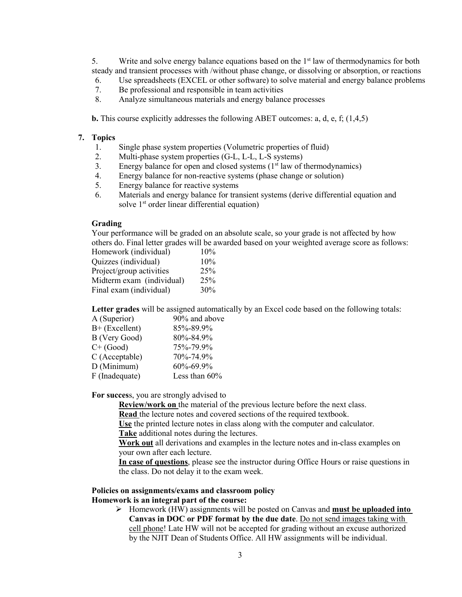5. Write and solve energy balance equations based on the  $1<sup>st</sup>$  law of thermodynamics for both steady and transient processes with /without phase change, or dissolving or absorption, or reactions

- 6. Use spreadsheets (EXCEL or other software) to solve material and energy balance problems
- 7. Be professional and responsible in team activities<br>8. Analyze simultaneous materials and energy balance
- Analyze simultaneous materials and energy balance processes

**b.** This course explicitly addresses the following ABET outcomes: a, d, e, f; (1,4,5)

#### **7. Topics**

- 1. Single phase system properties (Volumetric properties of fluid)
- 2. Multi-phase system properties (G-L, L-L, L-S systems)
- 3. Energy balance for open and closed systems  $(1<sup>st</sup> law of thermodynamics)$
- 4. Energy balance for non-reactive systems (phase change or solution)
- 5. Energy balance for reactive systems
- 6. Materials and energy balance for transient systems (derive differential equation and solve 1<sup>st</sup> order linear differential equation)

#### **Grading**

Your performance will be graded on an absolute scale, so your grade is not affected by how others do. Final letter grades will be awarded based on your weighted average score as follows:

| Homework (individual)     | 10% |
|---------------------------|-----|
| Quizzes (individual)      | 10% |
| Project/group activities  | 25% |
| Midterm exam (individual) | 25% |
| Final exam (individual)   | 30% |
|                           |     |

**Letter grades** will be assigned automatically by an Excel code based on the following totals:

| 90% and above |
|---------------|
| 85%-89.9%     |
| 80%-84.9%     |
| 75%-79.9%     |
| 70%-74.9%     |
| 60%-69.9%     |
| Less than 60% |
|               |

**For succes**s, you are strongly advised to

**Review/work on** the material of the previous lecture before the next class.

**Read** the lecture notes and covered sections of the required textbook.

**Use** the printed lecture notes in class along with the computer and calculator.

**Take** additional notes during the lectures.

**Work out** all derivations and examples in the lecture notes and in-class examples on your own after each lecture.

**In case of questions**, please see the instructor during Office Hours or raise questions in the class. Do not delay it to the exam week.

## **Policies on assignments/exams and classroom policy**

#### **Homework is an integral part of the course:**

 Homework (HW) assignments will be posted on Canvas and **must be uploaded into Canvas in DOC or PDF format by the due date**. Do not send images taking with cell phone! Late HW will not be accepted for grading without an excuse authorized by the NJIT Dean of Students Office. All HW assignments will be individual.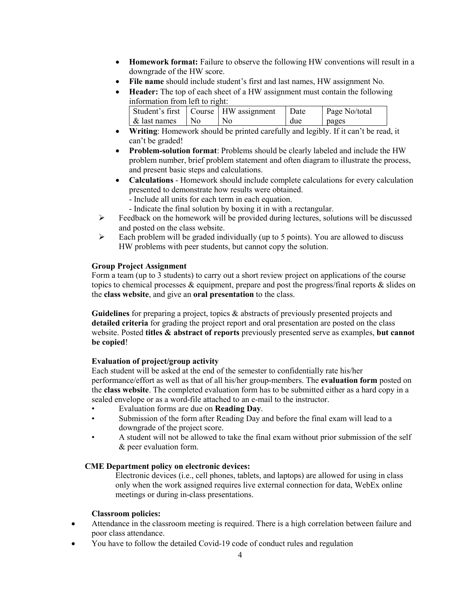- **Homework format:** Failure to observe the following HW conventions will result in a downgrade of the HW score.
- **File name** should include student's first and last names, HW assignment No.
- **Header:** The top of each sheet of a HW assignment must contain the following information from left to right:

|              |              | Student's first   Course   HW assignment | Date | Page No/total |
|--------------|--------------|------------------------------------------|------|---------------|
| & last names | $N_{\Omega}$ | No                                       | due  | pages         |

- **Writing**: Homework should be printed carefully and legibly. If it can't be read, it can't be graded!
- **Problem-solution format**: Problems should be clearly labeled and include the HW problem number, brief problem statement and often diagram to illustrate the process, and present basic steps and calculations.
- **Calculations** Homework should include complete calculations for every calculation presented to demonstrate how results were obtained.
	- Include all units for each term in each equation.
	- Indicate the final solution by boxing it in with a rectangular.
- $\triangleright$  Feedback on the homework will be provided during lectures, solutions will be discussed and posted on the class website.
- $\triangleright$  Each problem will be graded individually (up to 5 points). You are allowed to discuss HW problems with peer students, but cannot copy the solution.

### **Group Project Assignment**

Form a team (up to 3 students) to carry out a short review project on applications of the course topics to chemical processes & equipment, prepare and post the progress/final reports & slides on the **class website**, and give an **oral presentation** to the class.

**Guidelines** for preparing a project, topics & abstracts of previously presented projects and **detailed criteria** for grading the project report and oral presentation are posted on the class website. Posted **titles & abstract of reports** previously presented serve as examples, **but cannot be copied**!

## **Evaluation of project/group activity**

Each student will be asked at the end of the semester to confidentially rate his/her performance/effort as well as that of all his/her group-members. The **evaluation form** posted on the **class website**. The completed evaluation form has to be submitted either as a hard copy in a sealed envelope or as a word-file attached to an e-mail to the instructor.

- Evaluation forms are due on **Reading Day**.
- Submission of the form after Reading Day and before the final exam will lead to a downgrade of the project score.
- A student will not be allowed to take the final exam without prior submission of the self & peer evaluation form.

## **CME Department policy on electronic devices:**

Electronic devices (i.e., cell phones, tablets, and laptops) are allowed for using in class only when the work assigned requires live external connection for data, WebEx online meetings or during in-class presentations.

## **Classroom policies:**

- Attendance in the classroom meeting is required. There is a high correlation between failure and poor class attendance.
- You have to follow the detailed Covid-19 code of conduct rules and regulation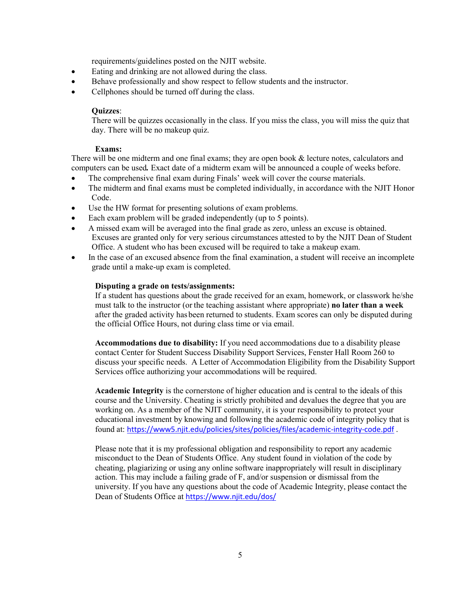requirements/guidelines posted on the NJIT website.

- Eating and drinking are not allowed during the class.
- Behave professionally and show respect to fellow students and the instructor.
- Cellphones should be turned off during the class.

#### **Quizzes**:

There will be quizzes occasionally in the class. If you miss the class, you will miss the quiz that day. There will be no makeup quiz.

#### **Exams:**

There will be one midterm and one final exams; they are open book & lecture notes, calculators and computers can be used*.* Exact date of a midterm exam will be announced a couple of weeks before.

- The comprehensive final exam during Finals' week will cover the course materials.
- The midterm and final exams must be completed individually, in accordance with the NJIT Honor Code.
- Use the HW format for presenting solutions of exam problems.
- Each exam problem will be graded independently (up to 5 points).
- A missed exam will be averaged into the final grade as zero, unless an excuse is obtained. Excuses are granted only for very serious circumstances attested to by the NJIT Dean of Student Office. A student who has been excused will be required to take a makeup exam.
- In the case of an excused absence from the final examination, a student will receive an incomplete grade until a make-up exam is completed.

#### **Disputing a grade on tests/assignments:**

If a student has questions about the grade received for an exam, homework, or classwork he/she must talk to the instructor (or the teaching assistant where appropriate) **no later than a week** after the graded activity has been returned to students. Exam scores can only be disputed during the official Office Hours, not during class time or via email.

**Accommodations due to disability:** If you need accommodations due to a disability please contact Center for Student Success Disability Support Services, Fenster Hall Room 260 to discuss your specific needs. A Letter of Accommodation Eligibility from the Disability Support Services office authorizing your accommodations will be required.

**Academic Integrity** is the cornerstone of higher education and is central to the ideals of this course and the University. Cheating is strictly prohibited and devalues the degree that you are working on. As a member of the NJIT community, it is your responsibility to protect your educational investment by knowing and following the academic code of integrity policy that is found at: <https://www5.njit.edu/policies/sites/policies/files/academic-integrity-code.pdf> .

Please note that it is my professional obligation and responsibility to report any academic misconduct to the Dean of Students Office. Any student found in violation of the code by cheating, plagiarizing or using any online software inappropriately will result in disciplinary action. This may include a failing grade of F, and/or suspension or dismissal from the university. If you have any questions about the code of Academic Integrity, please contact the Dean of Students Office at <https://www.njit.edu/dos/>